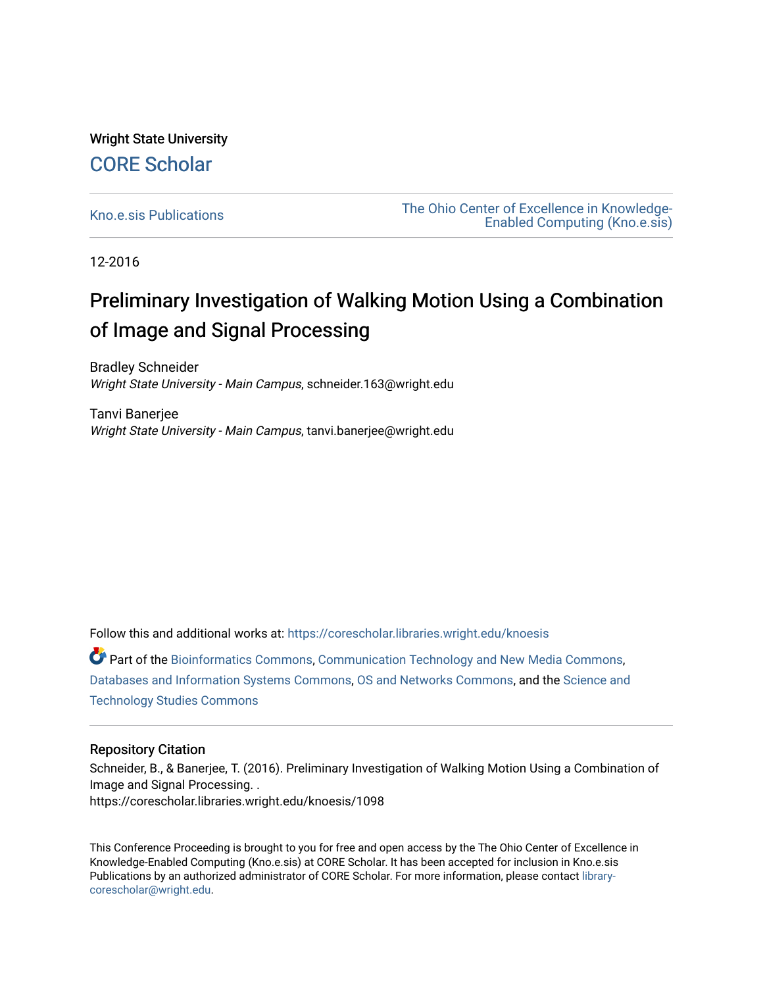Wright State University [CORE Scholar](https://corescholar.libraries.wright.edu/)

[Kno.e.sis Publications](https://corescholar.libraries.wright.edu/knoesis) [The Ohio Center of Excellence in Knowledge-](https://corescholar.libraries.wright.edu/knoesis_comm)[Enabled Computing \(Kno.e.sis\)](https://corescholar.libraries.wright.edu/knoesis_comm) 

12-2016

# Preliminary Investigation of Walking Motion Using a Combination of Image and Signal Processing

Bradley Schneider Wright State University - Main Campus, schneider.163@wright.edu

Tanvi Banerjee Wright State University - Main Campus, tanvi.banerjee@wright.edu

Follow this and additional works at: [https://corescholar.libraries.wright.edu/knoesis](https://corescholar.libraries.wright.edu/knoesis?utm_source=corescholar.libraries.wright.edu%2Fknoesis%2F1098&utm_medium=PDF&utm_campaign=PDFCoverPages) 

Part of the [Bioinformatics Commons,](http://network.bepress.com/hgg/discipline/110?utm_source=corescholar.libraries.wright.edu%2Fknoesis%2F1098&utm_medium=PDF&utm_campaign=PDFCoverPages) [Communication Technology and New Media Commons,](http://network.bepress.com/hgg/discipline/327?utm_source=corescholar.libraries.wright.edu%2Fknoesis%2F1098&utm_medium=PDF&utm_campaign=PDFCoverPages) [Databases and Information Systems Commons](http://network.bepress.com/hgg/discipline/145?utm_source=corescholar.libraries.wright.edu%2Fknoesis%2F1098&utm_medium=PDF&utm_campaign=PDFCoverPages), [OS and Networks Commons](http://network.bepress.com/hgg/discipline/149?utm_source=corescholar.libraries.wright.edu%2Fknoesis%2F1098&utm_medium=PDF&utm_campaign=PDFCoverPages), and the [Science and](http://network.bepress.com/hgg/discipline/435?utm_source=corescholar.libraries.wright.edu%2Fknoesis%2F1098&utm_medium=PDF&utm_campaign=PDFCoverPages) [Technology Studies Commons](http://network.bepress.com/hgg/discipline/435?utm_source=corescholar.libraries.wright.edu%2Fknoesis%2F1098&utm_medium=PDF&utm_campaign=PDFCoverPages) 

# Repository Citation

Schneider, B., & Banerjee, T. (2016). Preliminary Investigation of Walking Motion Using a Combination of Image and Signal Processing. . https://corescholar.libraries.wright.edu/knoesis/1098

This Conference Proceeding is brought to you for free and open access by the The Ohio Center of Excellence in Knowledge-Enabled Computing (Kno.e.sis) at CORE Scholar. It has been accepted for inclusion in Kno.e.sis Publications by an authorized administrator of CORE Scholar. For more information, please contact [library](mailto:library-corescholar@wright.edu)[corescholar@wright.edu](mailto:library-corescholar@wright.edu).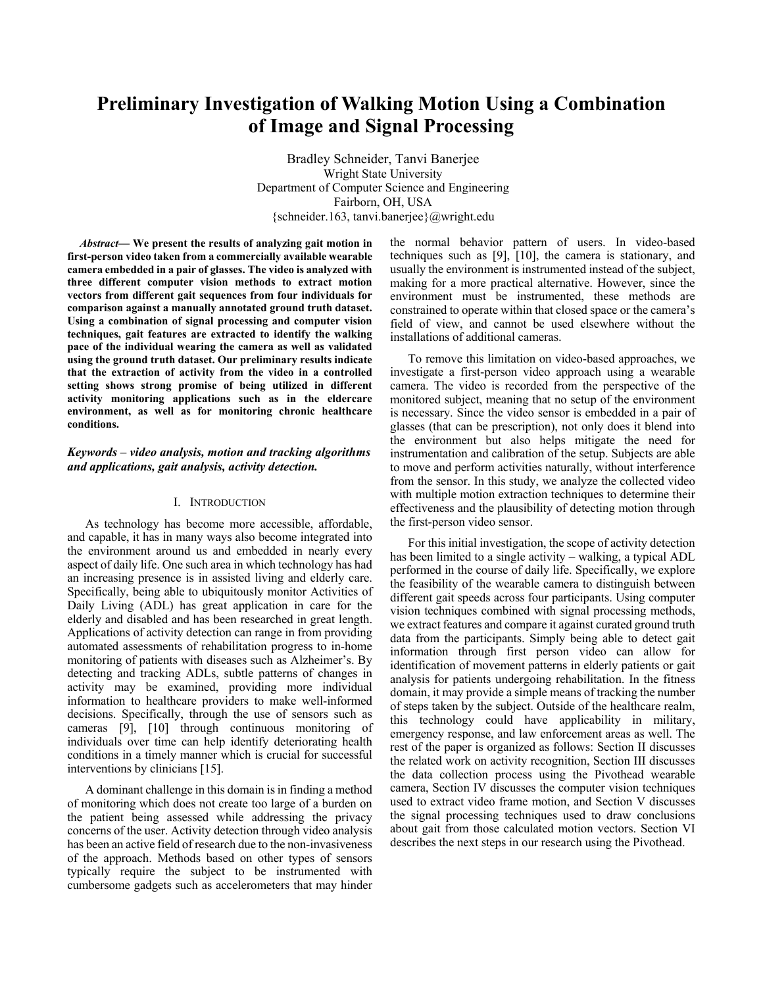# **Preliminary Investigation of Walking Motion Using a Combination of Image and Signal Processing**

Bradley Schneider, Tanvi Banerjee Wright State University Department of Computer Science and Engineering Fairborn, OH, USA {schneider.163, tanvi.banerjee}@wright.edu

*Abstract—* **We present the results of analyzing gait motion in first-person video taken from a commercially available wearable camera embedded in a pair of glasses. The video is analyzed with three different computer vision methods to extract motion vectors from different gait sequences from four individuals for comparison against a manually annotated ground truth dataset. Using a combination of signal processing and computer vision techniques, gait features are extracted to identify the walking pace of the individual wearing the camera as well as validated using the ground truth dataset. Our preliminary results indicate that the extraction of activity from the video in a controlled setting shows strong promise of being utilized in different activity monitoring applications such as in the eldercare environment, as well as for monitoring chronic healthcare conditions.** 

## *Keywords – video analysis, motion and tracking algorithms and applications, gait analysis, activity detection.*

#### I. INTRODUCTION

As technology has become more accessible, affordable, and capable, it has in many ways also become integrated into the environment around us and embedded in nearly every aspect of daily life. One such area in which technology has had an increasing presence is in assisted living and elderly care. Specifically, being able to ubiquitously monitor Activities of Daily Living (ADL) has great application in care for the elderly and disabled and has been researched in great length. Applications of activity detection can range in from providing automated assessments of rehabilitation progress to in-home monitoring of patients with diseases such as Alzheimer's. By detecting and tracking ADLs, subtle patterns of changes in activity may be examined, providing more individual information to healthcare providers to make well-informed decisions. Specifically, through the use of sensors such as cameras [9], [10] through continuous monitoring of individuals over time can help identify deteriorating health conditions in a timely manner which is crucial for successful interventions by clinicians [15].

A dominant challenge in this domain is in finding a method of monitoring which does not create too large of a burden on the patient being assessed while addressing the privacy concerns of the user. Activity detection through video analysis has been an active field of research due to the non-invasiveness of the approach. Methods based on other types of sensors typically require the subject to be instrumented with cumbersome gadgets such as accelerometers that may hinder the normal behavior pattern of users. In video-based techniques such as [9], [10], the camera is stationary, and usually the environment is instrumented instead of the subject, making for a more practical alternative. However, since the environment must be instrumented, these methods are constrained to operate within that closed space or the camera's field of view, and cannot be used elsewhere without the installations of additional cameras.

To remove this limitation on video-based approaches, we investigate a first-person video approach using a wearable camera. The video is recorded from the perspective of the monitored subject, meaning that no setup of the environment is necessary. Since the video sensor is embedded in a pair of glasses (that can be prescription), not only does it blend into the environment but also helps mitigate the need for instrumentation and calibration of the setup. Subjects are able to move and perform activities naturally, without interference from the sensor. In this study, we analyze the collected video with multiple motion extraction techniques to determine their effectiveness and the plausibility of detecting motion through the first-person video sensor.

For this initial investigation, the scope of activity detection has been limited to a single activity – walking, a typical ADL performed in the course of daily life. Specifically, we explore the feasibility of the wearable camera to distinguish between different gait speeds across four participants. Using computer vision techniques combined with signal processing methods, we extract features and compare it against curated ground truth data from the participants. Simply being able to detect gait information through first person video can allow for identification of movement patterns in elderly patients or gait analysis for patients undergoing rehabilitation. In the fitness domain, it may provide a simple means of tracking the number of steps taken by the subject. Outside of the healthcare realm, this technology could have applicability in military, emergency response, and law enforcement areas as well. The rest of the paper is organized as follows: Section II discusses the related work on activity recognition, Section III discusses the data collection process using the Pivothead wearable camera, Section IV discusses the computer vision techniques used to extract video frame motion, and Section V discusses the signal processing techniques used to draw conclusions about gait from those calculated motion vectors. Section VI describes the next steps in our research using the Pivothead.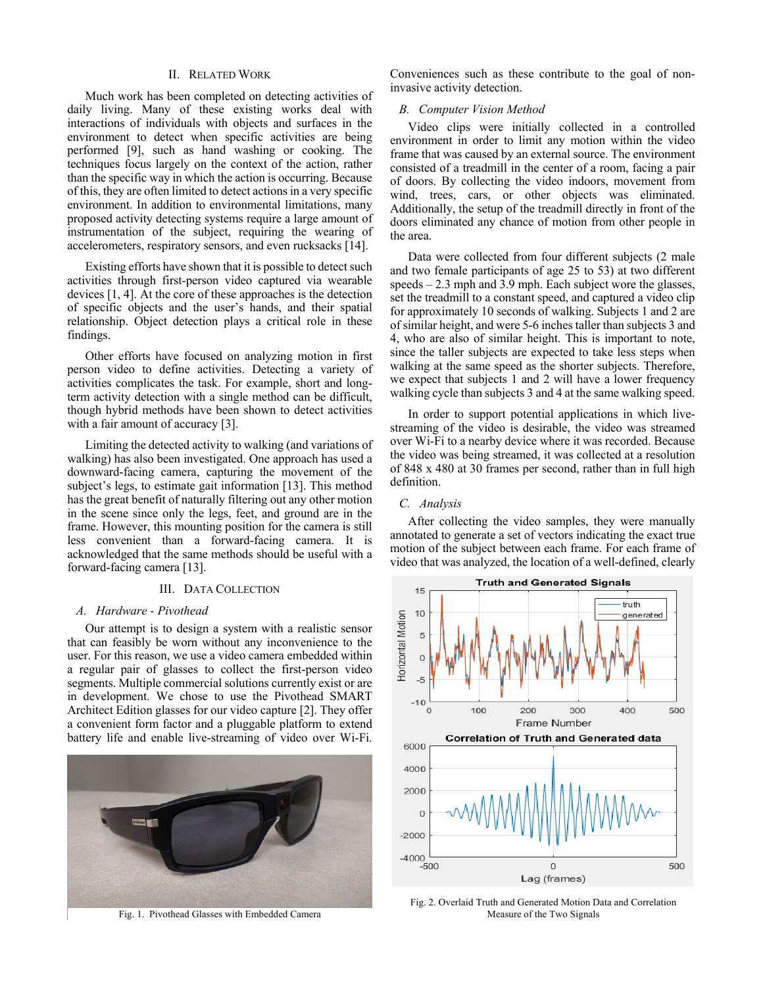#### II. RELATED WORK

Much work has been completed on detecting activities of daily living. Many of these existing works deal with interactions of individuals with objects and surfaces in the environment to detect when specific activities are being performed [9], such as hand washing or cooking. The techniques focus largely on the context of the action, rather than the specific way in which the action is occurring. Because of this, they are often limited to detect actions in a very specific environment. In addition to environmental limitations, many proposed activity detecting systems require a large amount of instrumentation of the subject, requiring the wearing of accelerometers, respiratory sensors, and even rucksacks [14].

Existing efforts have shown that it is possible to detect such activities through first-person video captured via wearable devices [1, 4]. At the core of these approaches is the detection of specific objects and the user's hands, and their spatial relationship. Object detection plays a critical role in these findings.

Other efforts have focused on analyzing motion in first person video to define activities. Detecting a variety of activities complicates the task. For example, short and longterm activity detection with a single method can be difficult, though hybrid methods have been shown to detect activities with a fair amount of accuracy [3].

Limiting the detected activity to walking (and variations of walking) has also been investigated. One approach has used a downward-facing camera, capturing the movement of the subject's legs, to estimate gait information [13]. This method has the great benefit of naturally filtering out any other motion in the scene since only the legs, feet, and ground are in the frame. However, this mounting position for the camera is still less convenient than a forward-facing camera. It is acknowledged that the same methods should be useful with a forward-facing camera [13].

# III. DATA COLLECTION

#### *A. Hardware - Pivothead*

Our attempt is to design a system with a realistic sensor that can feasibly be worn without any inconvenience to the user. For this reason, we use a video camera embedded within a regular pair of glasses to collect the first-person video segments. Multiple commercial solutions currently exist or are in development. We chose to use the Pivothead SMART Architect Edition glasses for our video capture [2]. They offer a convenient form factor and a pluggable platform to extend battery life and enable live-streaming of video over Wi-Fi.



Conveniences such as these contribute to the goal of noninvasive activity detection.

#### *B. Computer Vision Method*

Video clips were initially collected in a controlled environment in order to limit any motion within the video frame that was caused by an external source. The environment consisted of a treadmill in the center of a room, facing a pair of doors. By collecting the video indoors, movement from wind, trees, cars, or other objects was eliminated. Additionally, the setup of the treadmill directly in front of the doors eliminated any chance of motion from other people in the area.

Data were collected from four different subjects (2 male and two female participants of age 25 to 53) at two different speeds – 2.3 mph and 3.9 mph. Each subject wore the glasses, set the treadmill to a constant speed, and captured a video clip for approximately 10 seconds of walking. Subjects 1 and 2 are of similar height, and were 5-6 inches taller than subjects 3 and 4, who are also of similar height. This is important to note, since the taller subjects are expected to take less steps when walking at the same speed as the shorter subjects. Therefore, we expect that subjects 1 and 2 will have a lower frequency walking cycle than subjects 3 and 4 at the same walking speed.

In order to support potential applications in which livestreaming of the video is desirable, the video was streamed over Wi-Fi to a nearby device where it was recorded. Because the video was being streamed, it was collected at a resolution of 848 x 480 at 30 frames per second, rather than in full high definition.

#### *C. Analysis*

After collecting the video samples, they were manually annotated to generate a set of vectors indicating the exact true motion of the subject between each frame. For each frame of video that was analyzed, the location of a well-defined, clearly



Fig. 2. Overlaid Truth and Generated Motion Data and Correlation Fig. 1. Pivothead Glasses with Embedded Camera Measure of the Two Signals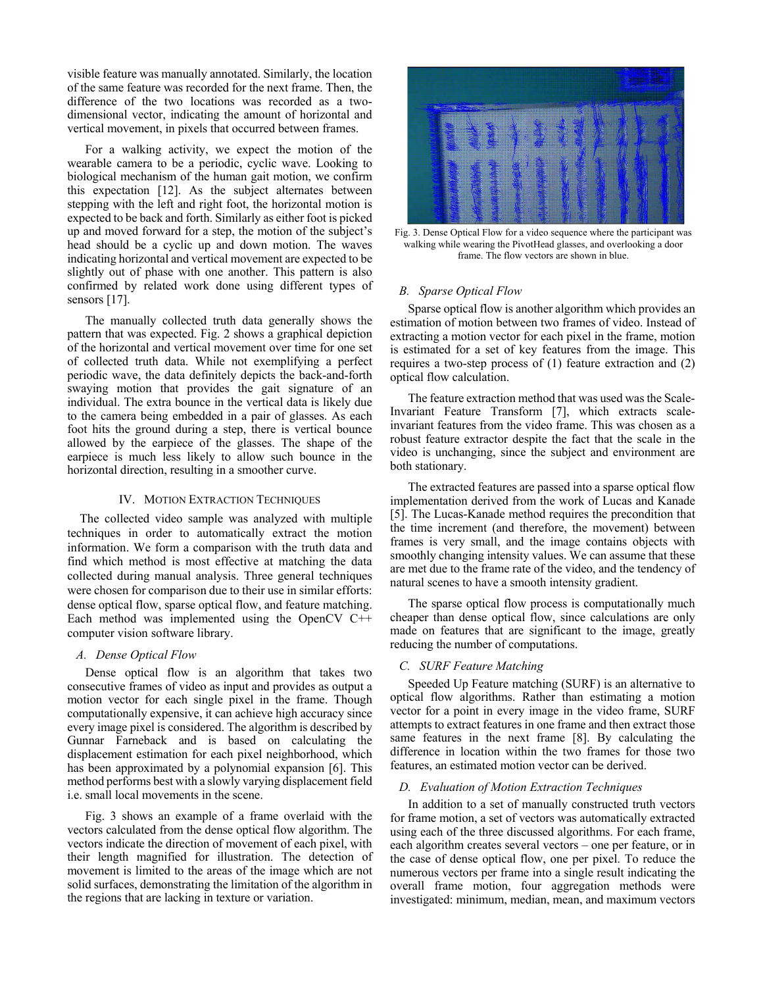visible feature was manually annotated. Similarly, the location of the same feature was recorded for the next frame. Then, the difference of the two locations was recorded as a twodimensional vector, indicating the amount of horizontal and vertical movement, in pixels that occurred between frames.

For a walking activity, we expect the motion of the wearable camera to be a periodic, cyclic wave. Looking to biological mechanism of the human gait motion, we confirm this expectation [12]. As the subject alternates between stepping with the left and right foot, the horizontal motion is expected to be back and forth. Similarly as either foot is picked up and moved forward for a step, the motion of the subject's head should be a cyclic up and down motion. The waves indicating horizontal and vertical movement are expected to be slightly out of phase with one another. This pattern is also confirmed by related work done using different types of sensors [17].

The manually collected truth data generally shows the pattern that was expected. Fig. 2 shows a graphical depiction of the horizontal and vertical movement over time for one set of collected truth data. While not exemplifying a perfect periodic wave, the data definitely depicts the back-and-forth swaying motion that provides the gait signature of an individual. The extra bounce in the vertical data is likely due to the camera being embedded in a pair of glasses. As each foot hits the ground during a step, there is vertical bounce allowed by the earpiece of the glasses. The shape of the earpiece is much less likely to allow such bounce in the horizontal direction, resulting in a smoother curve.

#### IV. MOTION EXTRACTION TECHNIQUES

The collected video sample was analyzed with multiple techniques in order to automatically extract the motion information. We form a comparison with the truth data and find which method is most effective at matching the data collected during manual analysis. Three general techniques were chosen for comparison due to their use in similar efforts: dense optical flow, sparse optical flow, and feature matching. Each method was implemented using the OpenCV C++ computer vision software library.

# *A. Dense Optical Flow*

Dense optical flow is an algorithm that takes two consecutive frames of video as input and provides as output a motion vector for each single pixel in the frame. Though computationally expensive, it can achieve high accuracy since every image pixel is considered. The algorithm is described by Gunnar Farneback and is based on calculating the displacement estimation for each pixel neighborhood, which has been approximated by a polynomial expansion [6]. This method performs best with a slowly varying displacement field i.e. small local movements in the scene.

Fig. 3 shows an example of a frame overlaid with the vectors calculated from the dense optical flow algorithm. The vectors indicate the direction of movement of each pixel, with their length magnified for illustration. The detection of movement is limited to the areas of the image which are not solid surfaces, demonstrating the limitation of the algorithm in the regions that are lacking in texture or variation.



Fig. 3. Dense Optical Flow for a video sequence where the participant was walking while wearing the PivotHead glasses, and overlooking a door frame. The flow vectors are shown in blue.

#### *B. Sparse Optical Flow*

Sparse optical flow is another algorithm which provides an estimation of motion between two frames of video. Instead of extracting a motion vector for each pixel in the frame, motion is estimated for a set of key features from the image. This requires a two-step process of (1) feature extraction and (2) optical flow calculation.

The feature extraction method that was used was the Scale-Invariant Feature Transform [7], which extracts scaleinvariant features from the video frame. This was chosen as a robust feature extractor despite the fact that the scale in the video is unchanging, since the subject and environment are both stationary.

The extracted features are passed into a sparse optical flow implementation derived from the work of Lucas and Kanade [5]. The Lucas-Kanade method requires the precondition that the time increment (and therefore, the movement) between frames is very small, and the image contains objects with smoothly changing intensity values. We can assume that these are met due to the frame rate of the video, and the tendency of natural scenes to have a smooth intensity gradient.

The sparse optical flow process is computationally much cheaper than dense optical flow, since calculations are only made on features that are significant to the image, greatly reducing the number of computations.

### *C. SURF Feature Matching*

Speeded Up Feature matching (SURF) is an alternative to optical flow algorithms. Rather than estimating a motion vector for a point in every image in the video frame, SURF attempts to extract features in one frame and then extract those same features in the next frame [8]. By calculating the difference in location within the two frames for those two features, an estimated motion vector can be derived.

#### *D. Evaluation of Motion Extraction Techniques*

In addition to a set of manually constructed truth vectors for frame motion, a set of vectors was automatically extracted using each of the three discussed algorithms. For each frame, each algorithm creates several vectors – one per feature, or in the case of dense optical flow, one per pixel. To reduce the numerous vectors per frame into a single result indicating the overall frame motion, four aggregation methods were investigated: minimum, median, mean, and maximum vectors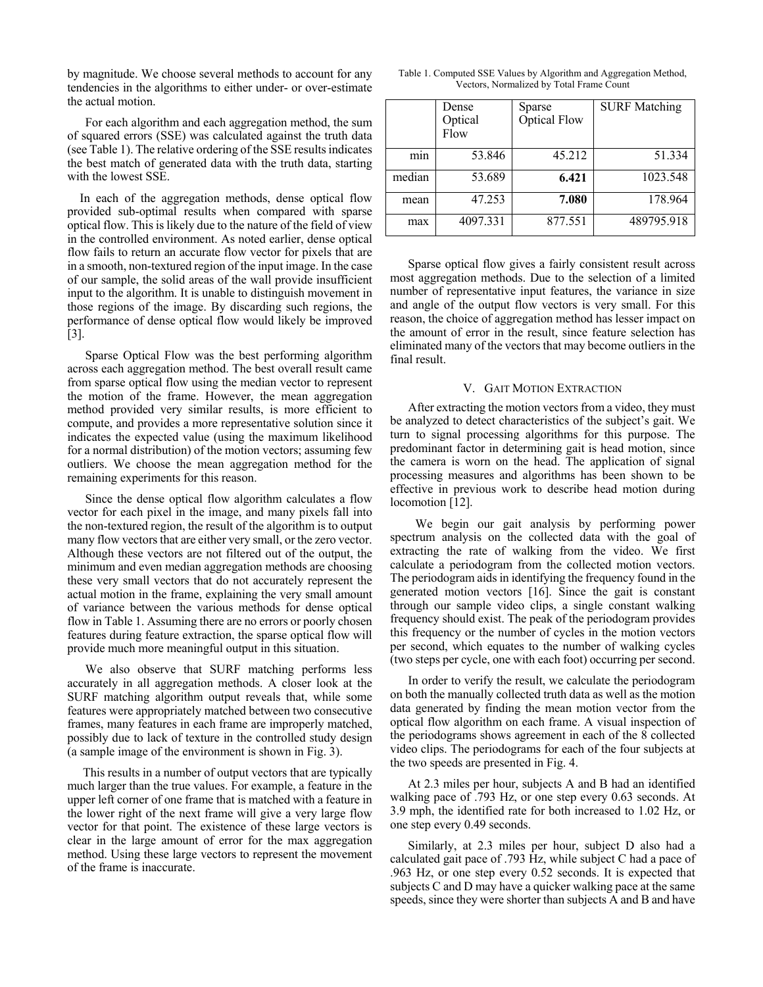by magnitude. We choose several methods to account for any tendencies in the algorithms to either under- or over-estimate the actual motion.

For each algorithm and each aggregation method, the sum of squared errors (SSE) was calculated against the truth data (see Table 1). The relative ordering of the SSE results indicates the best match of generated data with the truth data, starting with the lowest SSE.

 In each of the aggregation methods, dense optical flow provided sub-optimal results when compared with sparse optical flow. This is likely due to the nature of the field of view in the controlled environment. As noted earlier, dense optical flow fails to return an accurate flow vector for pixels that are in a smooth, non-textured region of the input image. In the case of our sample, the solid areas of the wall provide insufficient input to the algorithm. It is unable to distinguish movement in those regions of the image. By discarding such regions, the performance of dense optical flow would likely be improved [3].

Sparse Optical Flow was the best performing algorithm across each aggregation method. The best overall result came from sparse optical flow using the median vector to represent the motion of the frame. However, the mean aggregation method provided very similar results, is more efficient to compute, and provides a more representative solution since it indicates the expected value (using the maximum likelihood for a normal distribution) of the motion vectors; assuming few outliers. We choose the mean aggregation method for the remaining experiments for this reason.

Since the dense optical flow algorithm calculates a flow vector for each pixel in the image, and many pixels fall into the non-textured region, the result of the algorithm is to output many flow vectors that are either very small, or the zero vector. Although these vectors are not filtered out of the output, the minimum and even median aggregation methods are choosing these very small vectors that do not accurately represent the actual motion in the frame, explaining the very small amount of variance between the various methods for dense optical flow in Table 1. Assuming there are no errors or poorly chosen features during feature extraction, the sparse optical flow will provide much more meaningful output in this situation.

We also observe that SURF matching performs less accurately in all aggregation methods. A closer look at the SURF matching algorithm output reveals that, while some features were appropriately matched between two consecutive frames, many features in each frame are improperly matched, possibly due to lack of texture in the controlled study design (a sample image of the environment is shown in Fig. 3).

 This results in a number of output vectors that are typically much larger than the true values. For example, a feature in the upper left corner of one frame that is matched with a feature in the lower right of the next frame will give a very large flow vector for that point. The existence of these large vectors is clear in the large amount of error for the max aggregation method. Using these large vectors to represent the movement of the frame is inaccurate.

| Table 1. Computed SSE Values by Algorithm and Aggregation Method, |  |  |  |
|-------------------------------------------------------------------|--|--|--|
| Vectors, Normalized by Total Frame Count                          |  |  |  |

|        | Dense<br>Optical<br>Flow | Sparse<br><b>Optical Flow</b> | <b>SURF Matching</b> |
|--------|--------------------------|-------------------------------|----------------------|
| mın    | 53.846                   | 45.212                        | 51.334               |
| median | 53.689                   | 6.421                         | 1023.548             |
| mean   | 47.253                   | 7.080                         | 178.964              |
| max    | 4097.331                 | 877.551                       | 489795.918           |

Sparse optical flow gives a fairly consistent result across most aggregation methods. Due to the selection of a limited number of representative input features, the variance in size and angle of the output flow vectors is very small. For this reason, the choice of aggregation method has lesser impact on the amount of error in the result, since feature selection has eliminated many of the vectors that may become outliers in the final result.

#### V. GAIT MOTION EXTRACTION

After extracting the motion vectors from a video, they must be analyzed to detect characteristics of the subject's gait. We turn to signal processing algorithms for this purpose. The predominant factor in determining gait is head motion, since the camera is worn on the head. The application of signal processing measures and algorithms has been shown to be effective in previous work to describe head motion during locomotion [12].

 We begin our gait analysis by performing power spectrum analysis on the collected data with the goal of extracting the rate of walking from the video. We first calculate a periodogram from the collected motion vectors. The periodogram aids in identifying the frequency found in the generated motion vectors [16]. Since the gait is constant through our sample video clips, a single constant walking frequency should exist. The peak of the periodogram provides this frequency or the number of cycles in the motion vectors per second, which equates to the number of walking cycles (two steps per cycle, one with each foot) occurring per second.

In order to verify the result, we calculate the periodogram on both the manually collected truth data as well as the motion data generated by finding the mean motion vector from the optical flow algorithm on each frame. A visual inspection of the periodograms shows agreement in each of the 8 collected video clips. The periodograms for each of the four subjects at the two speeds are presented in Fig. 4.

At 2.3 miles per hour, subjects A and B had an identified walking pace of .793 Hz, or one step every 0.63 seconds. At 3.9 mph, the identified rate for both increased to 1.02 Hz, or one step every 0.49 seconds.

Similarly, at 2.3 miles per hour, subject D also had a calculated gait pace of .793 Hz, while subject C had a pace of .963 Hz, or one step every 0.52 seconds. It is expected that subjects C and D may have a quicker walking pace at the same speeds, since they were shorter than subjects A and B and have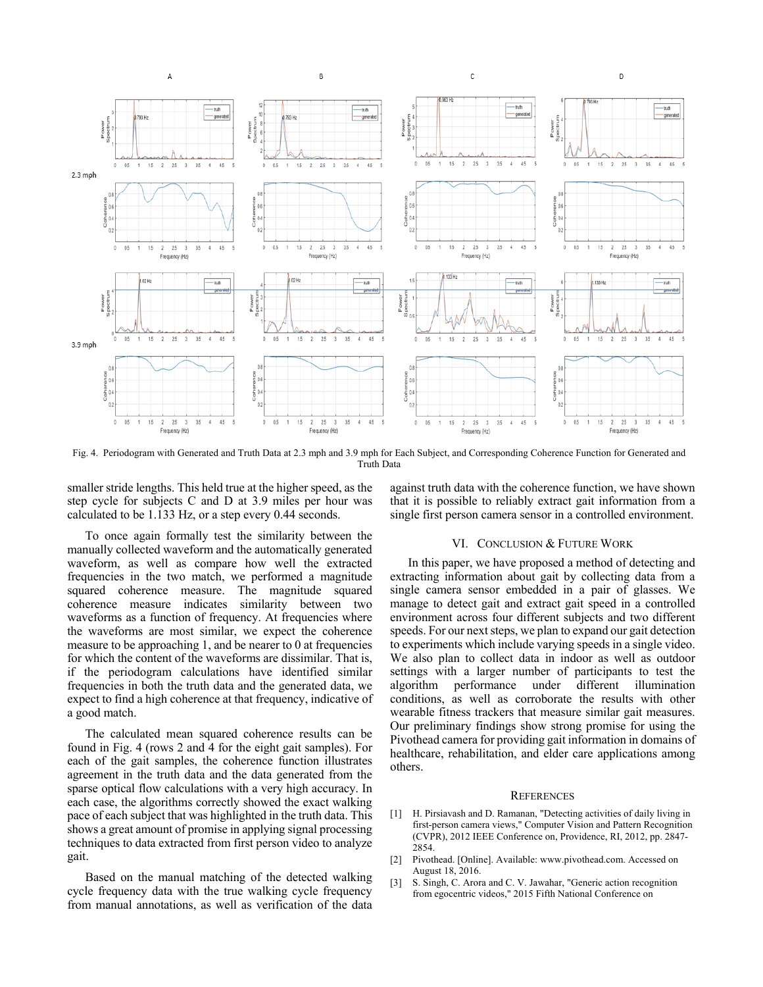

Fig. 4. Periodogram with Generated and Truth Data at 2.3 mph and 3.9 mph for Each Subject, and Corresponding Coherence Function for Generated and Truth Data

smaller stride lengths. This held true at the higher speed, as the step cycle for subjects C and D at 3.9 miles per hour was calculated to be 1.133 Hz, or a step every 0.44 seconds.

To once again formally test the similarity between the manually collected waveform and the automatically generated waveform, as well as compare how well the extracted frequencies in the two match, we performed a magnitude squared coherence measure. The magnitude squared coherence measure indicates similarity between two waveforms as a function of frequency. At frequencies where the waveforms are most similar, we expect the coherence measure to be approaching 1, and be nearer to 0 at frequencies for which the content of the waveforms are dissimilar. That is, if the periodogram calculations have identified similar frequencies in both the truth data and the generated data, we expect to find a high coherence at that frequency, indicative of a good match.

The calculated mean squared coherence results can be found in Fig. 4 (rows 2 and 4 for the eight gait samples). For each of the gait samples, the coherence function illustrates agreement in the truth data and the data generated from the sparse optical flow calculations with a very high accuracy. In each case, the algorithms correctly showed the exact walking pace of each subject that was highlighted in the truth data. This shows a great amount of promise in applying signal processing techniques to data extracted from first person video to analyze gait.

Based on the manual matching of the detected walking cycle frequency data with the true walking cycle frequency from manual annotations, as well as verification of the data against truth data with the coherence function, we have shown that it is possible to reliably extract gait information from a single first person camera sensor in a controlled environment.

#### VI. CONCLUSION & FUTURE WORK

In this paper, we have proposed a method of detecting and extracting information about gait by collecting data from a single camera sensor embedded in a pair of glasses. We manage to detect gait and extract gait speed in a controlled environment across four different subjects and two different speeds. For our next steps, we plan to expand our gait detection to experiments which include varying speeds in a single video. We also plan to collect data in indoor as well as outdoor settings with a larger number of participants to test the algorithm performance under different illumination conditions, as well as corroborate the results with other wearable fitness trackers that measure similar gait measures. Our preliminary findings show strong promise for using the Pivothead camera for providing gait information in domains of healthcare, rehabilitation, and elder care applications among others.

#### **REFERENCES**

- [1] H. Pirsiavash and D. Ramanan, "Detecting activities of daily living in first-person camera views," Computer Vision and Pattern Recognition (CVPR), 2012 IEEE Conference on, Providence, RI, 2012, pp. 2847- 2854.
- [2] Pivothead. [Online]. Available: www.pivothead.com. Accessed on August 18, 2016.
- [3] S. Singh, C. Arora and C. V. Jawahar, "Generic action recognition from egocentric videos," 2015 Fifth National Conference on